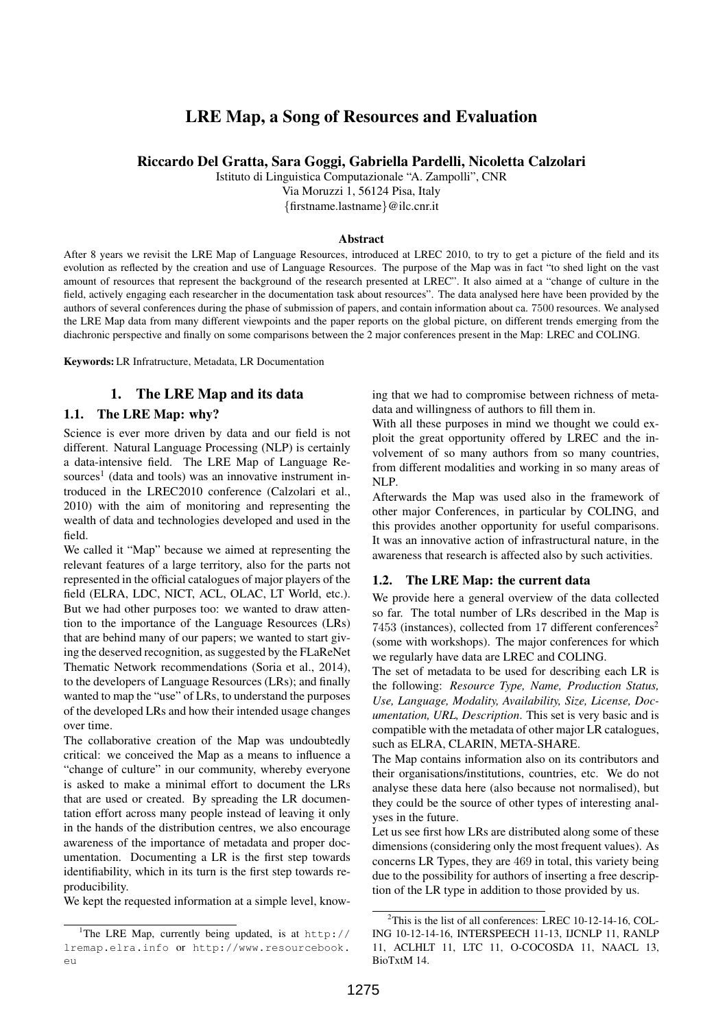# LRE Map, a Song of Resources and Evaluation

#### Riccardo Del Gratta, Sara Goggi, Gabriella Pardelli, Nicoletta Calzolari

Istituto di Linguistica Computazionale "A. Zampolli", CNR

Via Moruzzi 1, 56124 Pisa, Italy

*{*firstname.lastname*}*@ilc.cnr.it

#### Abstract

After 8 years we revisit the LRE Map of Language Resources, introduced at LREC 2010, to try to get a picture of the field and its evolution as reflected by the creation and use of Language Resources. The purpose of the Map was in fact "to shed light on the vast amount of resources that represent the background of the research presented at LREC". It also aimed at a "change of culture in the field, actively engaging each researcher in the documentation task about resources". The data analysed here have been provided by the authors of several conferences during the phase of submission of papers, and contain information about ca. 7500 resources. We analysed the LRE Map data from many different viewpoints and the paper reports on the global picture, on different trends emerging from the diachronic perspective and finally on some comparisons between the 2 major conferences present in the Map: LREC and COLING.

Keywords: LR Infratructure, Metadata, LR Documentation

### 1. The LRE Map and its data

#### 1.1. The LRE Map: why?

Science is ever more driven by data and our field is not different. Natural Language Processing (NLP) is certainly a data-intensive field. The LRE Map of Language Resources<sup>1</sup> (data and tools) was an innovative instrument introduced in the LREC2010 conference (Calzolari et al., 2010) with the aim of monitoring and representing the wealth of data and technologies developed and used in the field.

We called it "Map" because we aimed at representing the relevant features of a large territory, also for the parts not represented in the official catalogues of major players of the field (ELRA, LDC, NICT, ACL, OLAC, LT World, etc.). But we had other purposes too: we wanted to draw attention to the importance of the Language Resources (LRs) that are behind many of our papers; we wanted to start giving the deserved recognition, as suggested by the FLaReNet Thematic Network recommendations (Soria et al., 2014), to the developers of Language Resources (LRs); and finally wanted to map the "use" of LRs, to understand the purposes of the developed LRs and how their intended usage changes over time.

The collaborative creation of the Map was undoubtedly critical: we conceived the Map as a means to influence a "change of culture" in our community, whereby everyone is asked to make a minimal effort to document the LRs that are used or created. By spreading the LR documentation effort across many people instead of leaving it only in the hands of the distribution centres, we also encourage awareness of the importance of metadata and proper documentation. Documenting a LR is the first step towards identifiability, which in its turn is the first step towards reproducibility.

We kept the requested information at a simple level, know-

ing that we had to compromise between richness of metadata and willingness of authors to fill them in.

With all these purposes in mind we thought we could exploit the great opportunity offered by LREC and the involvement of so many authors from so many countries, from different modalities and working in so many areas of NLP.

Afterwards the Map was used also in the framework of other major Conferences, in particular by COLING, and this provides another opportunity for useful comparisons. It was an innovative action of infrastructural nature, in the awareness that research is affected also by such activities.

#### 1.2. The LRE Map: the current data

We provide here a general overview of the data collected so far. The total number of LRs described in the Map is 7453 (instances), collected from 17 different conferences<sup>2</sup> (some with workshops). The major conferences for which we regularly have data are LREC and COLING.

The set of metadata to be used for describing each LR is the following: *Resource Type, Name, Production Status, Use, Language, Modality, Availability, Size, License, Documentation, URL, Description*. This set is very basic and is compatible with the metadata of other major LR catalogues, such as ELRA, CLARIN, META-SHARE.

The Map contains information also on its contributors and their organisations/institutions, countries, etc. We do not analyse these data here (also because not normalised), but they could be the source of other types of interesting analyses in the future.

Let us see first how LRs are distributed along some of these dimensions (considering only the most frequent values). As concerns LR Types, they are 469 in total, this variety being due to the possibility for authors of inserting a free description of the LR type in addition to those provided by us.

<sup>&</sup>lt;sup>1</sup>The LRE Map, currently being updated, is at http:// lremap.elra.info or http://www.resourcebook.  $\sim$ 11

 $2$ This is the list of all conferences: LREC 10-12-14-16, COL-ING 10-12-14-16, INTERSPEECH 11-13, IJCNLP 11, RANLP 11, ACLHLT 11, LTC 11, O-COCOSDA 11, NAACL 13, BioTxtM 14.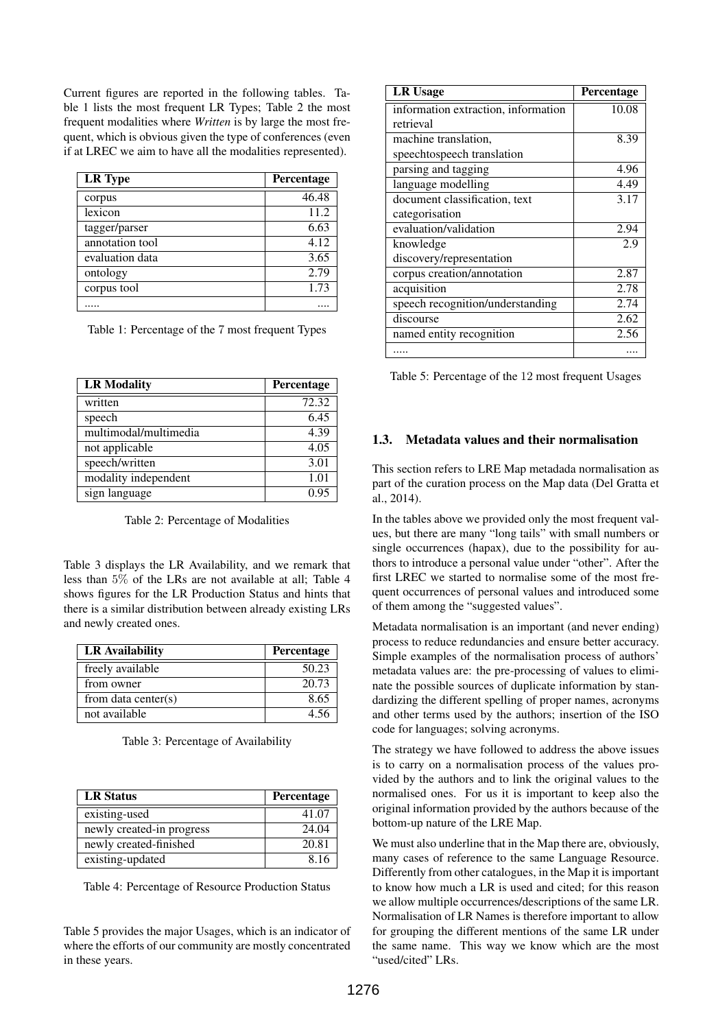Current figures are reported in the following tables. Table 1 lists the most frequent LR Types; Table 2 the most frequent modalities where *Written* is by large the most frequent, which is obvious given the type of conferences (even if at LREC we aim to have all the modalities represented).

| <b>LR</b> Type  | <b>Percentage</b> |
|-----------------|-------------------|
| corpus          | 46.48             |
| lexicon         | 11.2              |
| tagger/parser   | 6.63              |
| annotation tool | 4.12              |
| evaluation data | 3.65              |
| ontology        | 2.79              |
| corpus tool     | 1.73              |
|                 |                   |

Table 1: Percentage of the 7 most frequent Types

| <b>LR Modality</b>    | Percentage |
|-----------------------|------------|
| written               | 72.32      |
| speech                | 6.45       |
| multimodal/multimedia | 4.39       |
| not applicable        | 4.05       |
| speech/written        | 3.01       |
| modality independent  | 1.01       |
| sign language         | 0.95       |

Table 2: Percentage of Modalities

Table 3 displays the LR Availability, and we remark that less than 5% of the LRs are not available at all; Table 4 shows figures for the LR Production Status and hints that there is a similar distribution between already existing LRs and newly created ones.

| <b>LR</b> Availability  | Percentage |
|-------------------------|------------|
| freely available        | 50.23      |
| from owner              | 20.73      |
| from data center( $s$ ) | 8.65       |
| not available           | 4.56       |

Table 3: Percentage of Availability

| <b>LR Status</b>          | Percentage |
|---------------------------|------------|
| existing-used             | 41.07      |
| newly created-in progress | 24.04      |
| newly created-finished    | 20.81      |
| existing-updated          | 8.16       |

Table 4: Percentage of Resource Production Status

Table 5 provides the major Usages, which is an indicator of where the efforts of our community are mostly concentrated in these years.

| <b>LR Usage</b>                     | <b>Percentage</b> |
|-------------------------------------|-------------------|
| information extraction, information | 10.08             |
| retrieval                           |                   |
| machine translation,                | 8.39              |
| speechtospeech translation          |                   |
| parsing and tagging                 | 4.96              |
| language modelling                  | 4.49              |
| document classification, text       | 3.17              |
| categorisation                      |                   |
| evaluation/validation               | 2.94              |
| knowledge                           | 2.9               |
| discovery/representation            |                   |
| corpus creation/annotation          | 2.87              |
| acquisition                         | 2.78              |
| speech recognition/understanding    | 2.74              |
| discourse                           | 2.62              |
| named entity recognition            | 2.56              |
|                                     |                   |

Table 5: Percentage of the 12 most frequent Usages

# 1.3. Metadata values and their normalisation

This section refers to LRE Map metadada normalisation as part of the curation process on the Map data (Del Gratta et al., 2014).

In the tables above we provided only the most frequent values, but there are many "long tails" with small numbers or single occurrences (hapax), due to the possibility for authors to introduce a personal value under "other". After the first LREC we started to normalise some of the most frequent occurrences of personal values and introduced some of them among the "suggested values".

Metadata normalisation is an important (and never ending) process to reduce redundancies and ensure better accuracy. Simple examples of the normalisation process of authors' metadata values are: the pre-processing of values to eliminate the possible sources of duplicate information by standardizing the different spelling of proper names, acronyms and other terms used by the authors; insertion of the ISO code for languages; solving acronyms.

The strategy we have followed to address the above issues is to carry on a normalisation process of the values provided by the authors and to link the original values to the normalised ones. For us it is important to keep also the original information provided by the authors because of the bottom-up nature of the LRE Map.

We must also underline that in the Map there are, obviously, many cases of reference to the same Language Resource. Differently from other catalogues, in the Map it is important to know how much a LR is used and cited; for this reason we allow multiple occurrences/descriptions of the same LR. Normalisation of LR Names is therefore important to allow for grouping the different mentions of the same LR under the same name. This way we know which are the most "used/cited" LRs.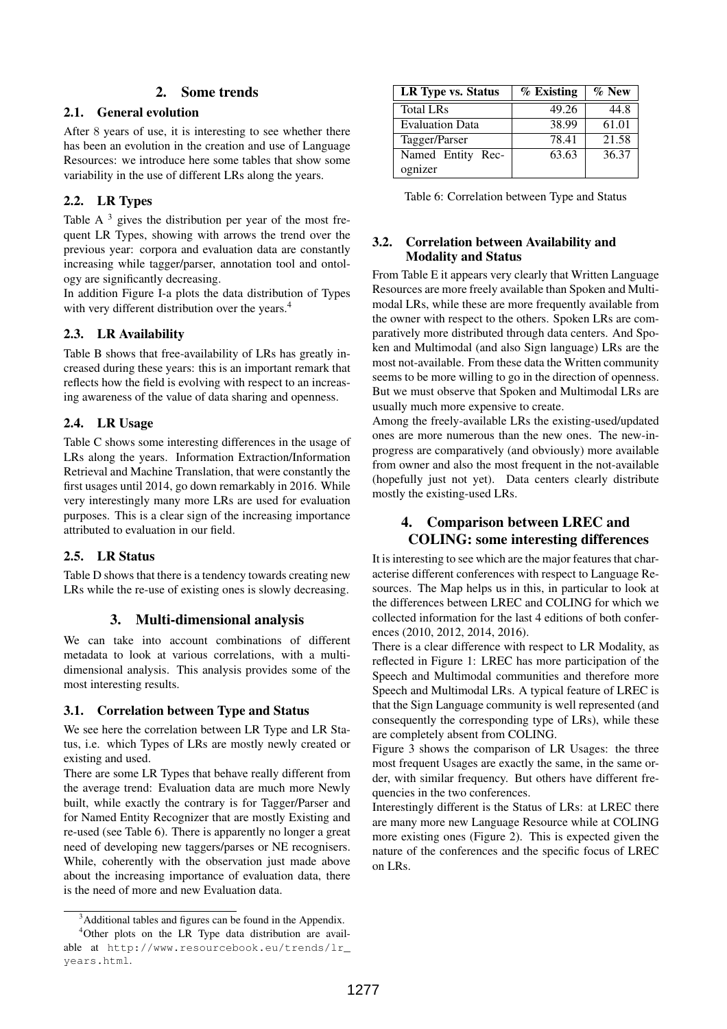# 2. Some trends

### 2.1. General evolution

After 8 years of use, it is interesting to see whether there has been an evolution in the creation and use of Language Resources: we introduce here some tables that show some variability in the use of different LRs along the years.

# 2.2. LR Types

Table A $3$  gives the distribution per year of the most frequent LR Types, showing with arrows the trend over the previous year: corpora and evaluation data are constantly increasing while tagger/parser, annotation tool and ontology are significantly decreasing.

In addition Figure I-a plots the data distribution of Types with very different distribution over the years.<sup>4</sup>

### 2.3. LR Availability

Table B shows that free-availability of LRs has greatly increased during these years: this is an important remark that reflects how the field is evolving with respect to an increasing awareness of the value of data sharing and openness.

### 2.4. LR Usage

Table C shows some interesting differences in the usage of LRs along the years. Information Extraction/Information Retrieval and Machine Translation, that were constantly the first usages until 2014, go down remarkably in 2016. While very interestingly many more LRs are used for evaluation purposes. This is a clear sign of the increasing importance attributed to evaluation in our field.

### 2.5. LR Status

Table D shows that there is a tendency towards creating new LRs while the re-use of existing ones is slowly decreasing.

### 3. Multi-dimensional analysis

We can take into account combinations of different metadata to look at various correlations, with a multidimensional analysis. This analysis provides some of the most interesting results.

### 3.1. Correlation between Type and Status

We see here the correlation between LR Type and LR Status, i.e. which Types of LRs are mostly newly created or existing and used.

There are some LR Types that behave really different from the average trend: Evaluation data are much more Newly built, while exactly the contrary is for Tagger/Parser and for Named Entity Recognizer that are mostly Existing and re-used (see Table 6). There is apparently no longer a great need of developing new taggers/parses or NE recognisers. While, coherently with the observation just made above about the increasing importance of evaluation data, there is the need of more and new Evaluation data.

| LR Type vs. Status     | $\%$ Existing | $\%$ New |
|------------------------|---------------|----------|
| <b>Total LRs</b>       | 49.26         | 44.8     |
| <b>Evaluation Data</b> | 38.99         | 61.01    |
| Tagger/Parser          | 78.41         | 21.58    |
| Named Entity Rec-      | 63.63         | 36.37    |
| ognizer                |               |          |

Table 6: Correlation between Type and Status

### 3.2. Correlation between Availability and Modality and Status

From Table E it appears very clearly that Written Language Resources are more freely available than Spoken and Multimodal LRs, while these are more frequently available from the owner with respect to the others. Spoken LRs are comparatively more distributed through data centers. And Spoken and Multimodal (and also Sign language) LRs are the most not-available. From these data the Written community seems to be more willing to go in the direction of openness. But we must observe that Spoken and Multimodal LRs are usually much more expensive to create.

Among the freely-available LRs the existing-used/updated ones are more numerous than the new ones. The new-inprogress are comparatively (and obviously) more available from owner and also the most frequent in the not-available (hopefully just not yet). Data centers clearly distribute mostly the existing-used LRs.

# 4. Comparison between LREC and COLING: some interesting differences

It is interesting to see which are the major features that characterise different conferences with respect to Language Resources. The Map helps us in this, in particular to look at the differences between LREC and COLING for which we collected information for the last 4 editions of both conferences (2010, 2012, 2014, 2016).

There is a clear difference with respect to LR Modality, as reflected in Figure 1: LREC has more participation of the Speech and Multimodal communities and therefore more Speech and Multimodal LRs. A typical feature of LREC is that the Sign Language community is well represented (and consequently the corresponding type of LRs), while these are completely absent from COLING.

Figure 3 shows the comparison of LR Usages: the three most frequent Usages are exactly the same, in the same order, with similar frequency. But others have different frequencies in the two conferences.

Interestingly different is the Status of LRs: at LREC there are many more new Language Resource while at COLING more existing ones (Figure 2). This is expected given the nature of the conferences and the specific focus of LREC on  $I$  Rs.

<sup>&</sup>lt;sup>3</sup> Additional tables and figures can be found in the Appendix.

<sup>4</sup> Other plots on the LR Type data distribution are available at http://www.resourcebook.eu/trends/lr\_ years.html.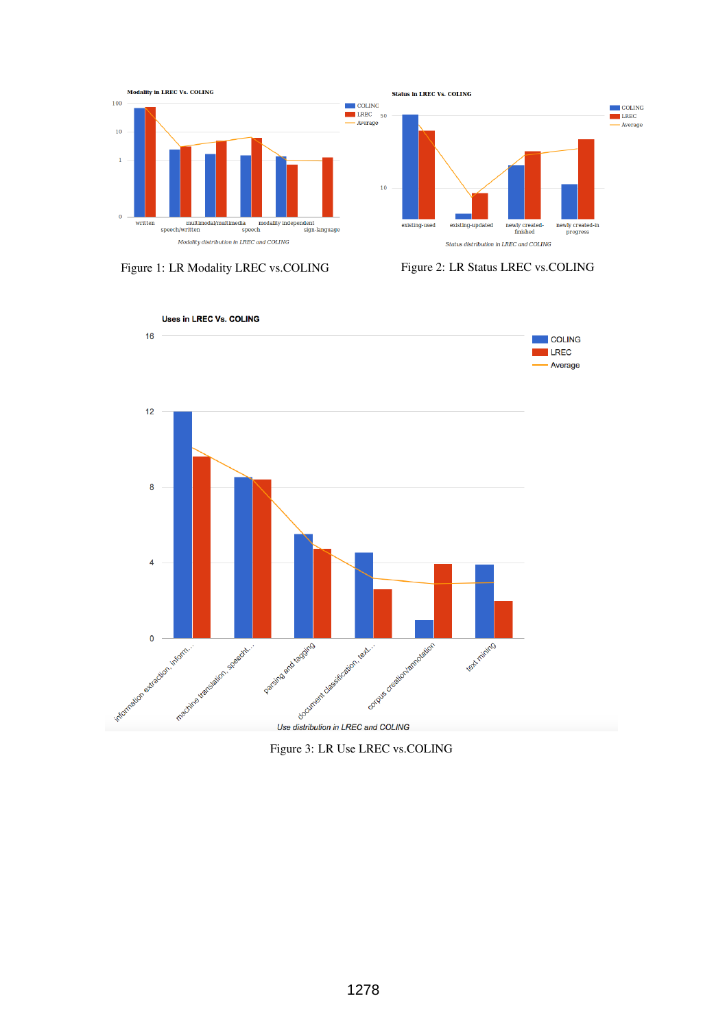





Figure 3: LR Use LREC vs.COLING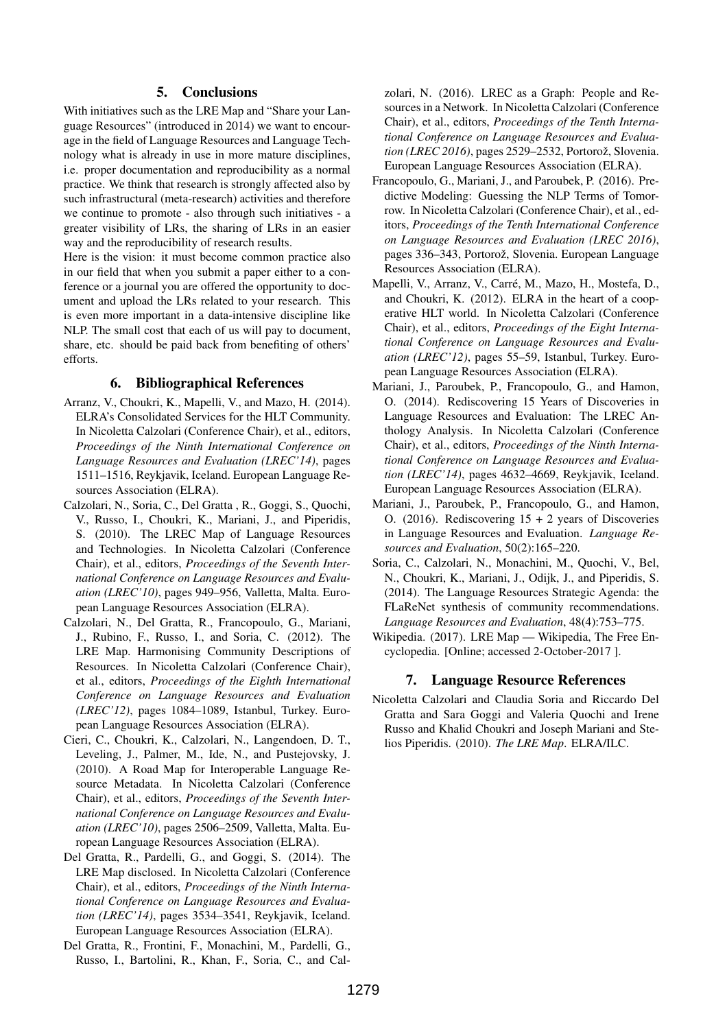#### 5. Conclusions

With initiatives such as the LRE Map and "Share your Language Resources" (introduced in 2014) we want to encourage in the field of Language Resources and Language Technology what is already in use in more mature disciplines, i.e. proper documentation and reproducibility as a normal practice. We think that research is strongly affected also by such infrastructural (meta-research) activities and therefore we continue to promote - also through such initiatives - a greater visibility of LRs, the sharing of LRs in an easier way and the reproducibility of research results.

Here is the vision: it must become common practice also in our field that when you submit a paper either to a conference or a journal you are offered the opportunity to document and upload the LRs related to your research. This is even more important in a data-intensive discipline like NLP. The small cost that each of us will pay to document, share, etc. should be paid back from benefiting of others' efforts.

#### 6. Bibliographical References

- Arranz, V., Choukri, K., Mapelli, V., and Mazo, H. (2014). ELRA's Consolidated Services for the HLT Community. In Nicoletta Calzolari (Conference Chair), et al., editors, *Proceedings of the Ninth International Conference on Language Resources and Evaluation (LREC'14)*, pages 1511–1516, Reykjavik, Iceland. European Language Resources Association (ELRA).
- Calzolari, N., Soria, C., Del Gratta , R., Goggi, S., Quochi, V., Russo, I., Choukri, K., Mariani, J., and Piperidis, S. (2010). The LREC Map of Language Resources and Technologies. In Nicoletta Calzolari (Conference Chair), et al., editors, *Proceedings of the Seventh International Conference on Language Resources and Evaluation (LREC'10)*, pages 949–956, Valletta, Malta. European Language Resources Association (ELRA).
- Calzolari, N., Del Gratta, R., Francopoulo, G., Mariani, J., Rubino, F., Russo, I., and Soria, C. (2012). The LRE Map. Harmonising Community Descriptions of Resources. In Nicoletta Calzolari (Conference Chair), et al., editors, *Proceedings of the Eighth International Conference on Language Resources and Evaluation (LREC'12)*, pages 1084–1089, Istanbul, Turkey. European Language Resources Association (ELRA).
- Cieri, C., Choukri, K., Calzolari, N., Langendoen, D. T., Leveling, J., Palmer, M., Ide, N., and Pustejovsky, J. (2010). A Road Map for Interoperable Language Resource Metadata. In Nicoletta Calzolari (Conference Chair), et al., editors, *Proceedings of the Seventh International Conference on Language Resources and Evaluation (LREC'10)*, pages 2506–2509, Valletta, Malta. European Language Resources Association (ELRA).
- Del Gratta, R., Pardelli, G., and Goggi, S. (2014). The LRE Map disclosed. In Nicoletta Calzolari (Conference Chair), et al., editors, *Proceedings of the Ninth International Conference on Language Resources and Evaluation (LREC'14)*, pages 3534–3541, Reykjavik, Iceland. European Language Resources Association (ELRA).
- Del Gratta, R., Frontini, F., Monachini, M., Pardelli, G., Russo, I., Bartolini, R., Khan, F., Soria, C., and Cal-

zolari, N. (2016). LREC as a Graph: People and Resources in a Network. In Nicoletta Calzolari (Conference Chair), et al., editors, *Proceedings of the Tenth International Conference on Language Resources and Evalua*tion (LREC 2016), pages 2529-2532, Portorož, Slovenia. European Language Resources Association (ELRA).

- Francopoulo, G., Mariani, J., and Paroubek, P. (2016). Predictive Modeling: Guessing the NLP Terms of Tomorrow. In Nicoletta Calzolari (Conference Chair), et al., editors, *Proceedings of the Tenth International Conference on Language Resources and Evaluation (LREC 2016)*, pages 336–343, Portorož, Slovenia. European Language Resources Association (ELRA).
- Mapelli, V., Arranz, V., Carre, M., Mazo, H., Mostefa, D., ´ and Choukri, K. (2012). ELRA in the heart of a cooperative HLT world. In Nicoletta Calzolari (Conference Chair), et al., editors, *Proceedings of the Eight International Conference on Language Resources and Evaluation (LREC'12)*, pages 55–59, Istanbul, Turkey. European Language Resources Association (ELRA).
- Mariani, J., Paroubek, P., Francopoulo, G., and Hamon, O. (2014). Rediscovering 15 Years of Discoveries in Language Resources and Evaluation: The LREC Anthology Analysis. In Nicoletta Calzolari (Conference Chair), et al., editors, *Proceedings of the Ninth International Conference on Language Resources and Evaluation (LREC'14)*, pages 4632–4669, Reykjavik, Iceland. European Language Resources Association (ELRA).
- Mariani, J., Paroubek, P., Francopoulo, G., and Hamon, O. (2016). Rediscovering  $15 + 2$  years of Discoveries in Language Resources and Evaluation. *Language Resources and Evaluation*, 50(2):165–220.
- Soria, C., Calzolari, N., Monachini, M., Quochi, V., Bel, N., Choukri, K., Mariani, J., Odijk, J., and Piperidis, S. (2014). The Language Resources Strategic Agenda: the FLaReNet synthesis of community recommendations. *Language Resources and Evaluation*, 48(4):753–775.
- Wikipedia. (2017). LRE Map Wikipedia, The Free Encyclopedia. [Online; accessed 2-October-2017 ].

#### 7. Language Resource References

Nicoletta Calzolari and Claudia Soria and Riccardo Del Gratta and Sara Goggi and Valeria Quochi and Irene Russo and Khalid Choukri and Joseph Mariani and Stelios Piperidis. (2010). *The LRE Map*. ELRA/ILC.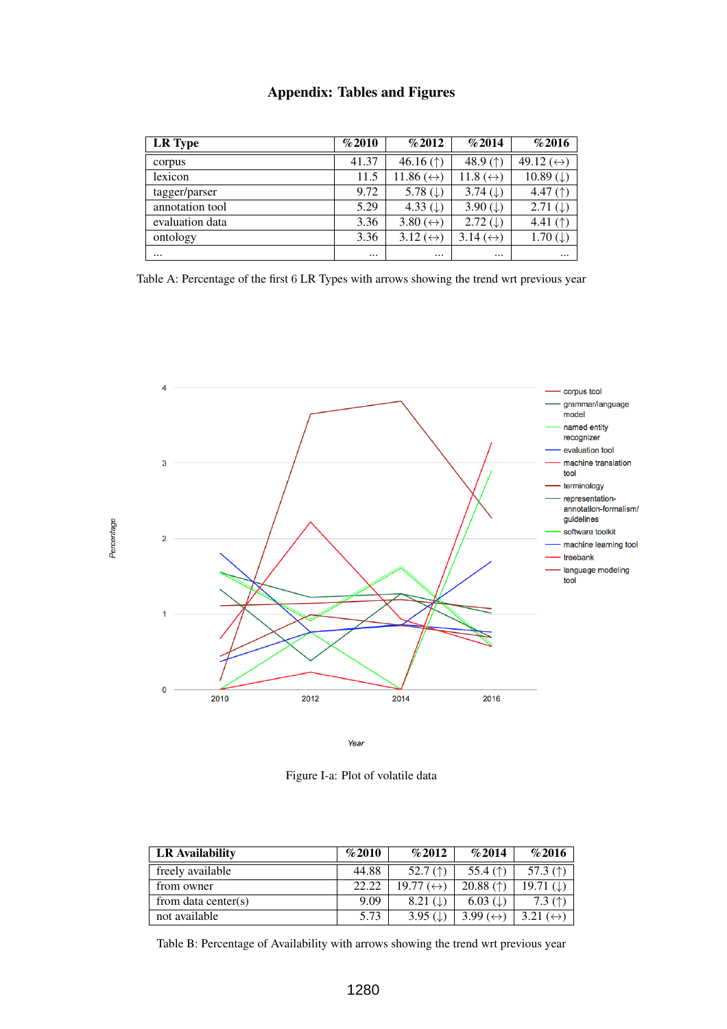| <b>Appendix: Tables and Figures</b> |  |  |  |
|-------------------------------------|--|--|--|
|-------------------------------------|--|--|--|

| LR Type         | %2010    | %2012                     | %2014                                       | %2016                                       |
|-----------------|----------|---------------------------|---------------------------------------------|---------------------------------------------|
| corpus          | 41.37    | 46.16 $($ $)$             | 48.9 $($ <sup><math>\uparrow</math></sup> ) | 49.12 $(\leftrightarrow)$                   |
| lexicon         | 11.5     | 11.86 $(\leftrightarrow)$ | 11.8 $(\leftrightarrow)$                    | 10.89 ( $\downarrow$ )                      |
| tagger/parser   | 9.72     | 5.78 $(\downarrow)$       | 3.74 $( )$                                  | 4.47 $($ <sup><math>\dagger)</math></sup>   |
| annotation tool | 5.29     | 4.33 $(\downarrow)$       | 3.90 $(\downarrow)$                         | 2.71 ( $\downarrow$ )                       |
| evaluation data | 3.36     | 3.80 $(\leftrightarrow)$  | $2.72 (\downarrow)$                         | 4.41 $($ <sup><math>\uparrow</math></sup> ) |
| ontology        | 3.36     | 3.12 $(\leftrightarrow)$  | 3.14 $(\leftrightarrow)$                    | $1.70 \, (\downarrow)$                      |
| $\cdots$        | $\cdots$ | $\cdots$                  | $\cdots$                                    | $\cdots$                                    |

Table A: Percentage of the first 6 LR Types with arrows showing the trend wrt previous year



Year

Figure I-a: Plot of volatile data

| <b>LR</b> Availability | %2010 | %2012                                     | %2014                                       | %2016                                      |
|------------------------|-------|-------------------------------------------|---------------------------------------------|--------------------------------------------|
| freely available       | 44.88 | 52.7 $($ <sup><math>\dagger)</math></sup> | 55.4 $($ <sup><math>\uparrow</math></sup> ) | 57.3 $($ <sup><math>\dagger)</math></sup>  |
| from owner             | 22.22 | $19.77 \leftrightarrow$                   | 20.88 $($ <sup><math>\dagger)</math></sup>  | 19.71 $( )$                                |
| from data center(s)    | 9.09  | $8.21 \left( \downarrow \right)$          | $6.03$ ( $\downarrow$ )                     | 7.3 $($ <sup><math>\uparrow</math></sup> ) |
| not available          | 5.73  | 3.95 $($                                  | $3.99 \leftrightarrow$                      | 3.21 $(\leftrightarrow)$                   |

Table B: Percentage of Availability with arrows showing the trend wrt previous year